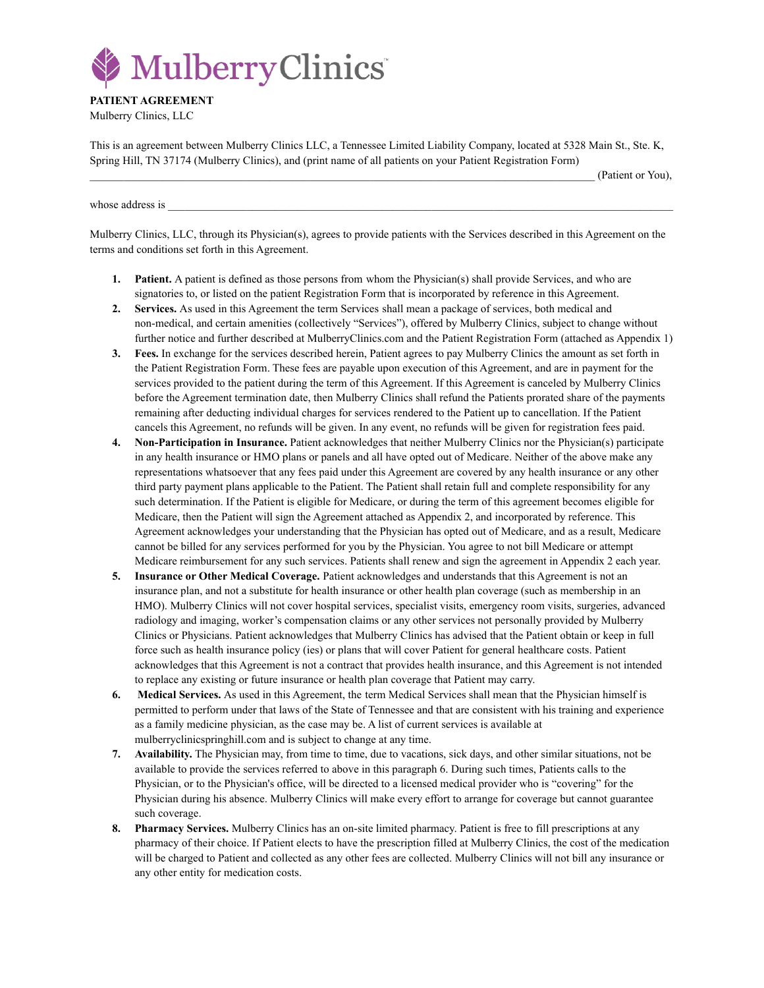

**PATIENT AGREEMENT** Mulberry Clinics, LLC

This is an agreement between Mulberry Clinics LLC, a Tennessee Limited Liability Company, located at 5328 Main St., Ste. K, Spring Hill, TN 37174 (Mulberry Clinics), and (print name of all patients on your Patient Registration Form)

\_\_\_\_\_\_\_\_\_\_\_\_\_\_\_\_\_\_\_\_\_\_\_\_\_\_\_\_\_\_\_\_\_\_\_\_\_\_\_\_\_\_\_\_\_\_\_\_\_\_\_\_\_\_\_\_\_\_\_\_\_\_\_\_\_\_\_\_\_\_\_\_\_\_\_\_\_\_\_\_\_\_\_\_\_\_\_\_\_\_ (Patient or You),

whose address is

Mulberry Clinics, LLC, through its Physician(s), agrees to provide patients with the Services described in this Agreement on the terms and conditions set forth in this Agreement.

- **1. Patient.** A patient is defined as those persons from whom the Physician(s) shall provide Services, and who are signatories to, or listed on the patient Registration Form that is incorporated by reference in this Agreement.
- **2. Services.** As used in this Agreement the term Services shall mean a package of services, both medical and non-medical, and certain amenities (collectively "Services"), offered by Mulberry Clinics, subject to change without further notice and further described at MulberryClinics.com and the Patient Registration Form (attached as Appendix 1)
- **3. Fees.** In exchange for the services described herein, Patient agrees to pay Mulberry Clinics the amount as set forth in the Patient Registration Form. These fees are payable upon execution of this Agreement, and are in payment for the services provided to the patient during the term of this Agreement. If this Agreement is canceled by Mulberry Clinics before the Agreement termination date, then Mulberry Clinics shall refund the Patients prorated share of the payments remaining after deducting individual charges for services rendered to the Patient up to cancellation. If the Patient cancels this Agreement, no refunds will be given. In any event, no refunds will be given for registration fees paid.
- **4. Non-Participation in Insurance.** Patient acknowledges that neither Mulberry Clinics nor the Physician(s) participate in any health insurance or HMO plans or panels and all have opted out of Medicare. Neither of the above make any representations whatsoever that any fees paid under this Agreement are covered by any health insurance or any other third party payment plans applicable to the Patient. The Patient shall retain full and complete responsibility for any such determination. If the Patient is eligible for Medicare, or during the term of this agreement becomes eligible for Medicare, then the Patient will sign the Agreement attached as Appendix 2, and incorporated by reference. This Agreement acknowledges your understanding that the Physician has opted out of Medicare, and as a result, Medicare cannot be billed for any services performed for you by the Physician. You agree to not bill Medicare or attempt Medicare reimbursement for any such services. Patients shall renew and sign the agreement in Appendix 2 each year.
- **5. Insurance or Other Medical Coverage.** Patient acknowledges and understands that this Agreement is not an insurance plan, and not a substitute for health insurance or other health plan coverage (such as membership in an HMO). Mulberry Clinics will not cover hospital services, specialist visits, emergency room visits, surgeries, advanced radiology and imaging, worker's compensation claims or any other services not personally provided by Mulberry Clinics or Physicians. Patient acknowledges that Mulberry Clinics has advised that the Patient obtain or keep in full force such as health insurance policy (ies) or plans that will cover Patient for general healthcare costs. Patient acknowledges that this Agreement is not a contract that provides health insurance, and this Agreement is not intended to replace any existing or future insurance or health plan coverage that Patient may carry.
- **6. Medical Services.** As used in this Agreement, the term Medical Services shall mean that the Physician himself is permitted to perform under that laws of the State of Tennessee and that are consistent with his training and experience as a family medicine physician, as the case may be. A list of current services is available at mulberryclinicspringhill.com and is subject to change at any time.
- **7. Availability.** The Physician may, from time to time, due to vacations, sick days, and other similar situations, not be available to provide the services referred to above in this paragraph 6. During such times, Patients calls to the Physician, or to the Physician's office, will be directed to a licensed medical provider who is "covering" for the Physician during his absence. Mulberry Clinics will make every effort to arrange for coverage but cannot guarantee such coverage.
- **8. Pharmacy Services.** Mulberry Clinics has an on-site limited pharmacy. Patient is free to fill prescriptions at any pharmacy of their choice. If Patient elects to have the prescription filled at Mulberry Clinics, the cost of the medication will be charged to Patient and collected as any other fees are collected. Mulberry Clinics will not bill any insurance or any other entity for medication costs.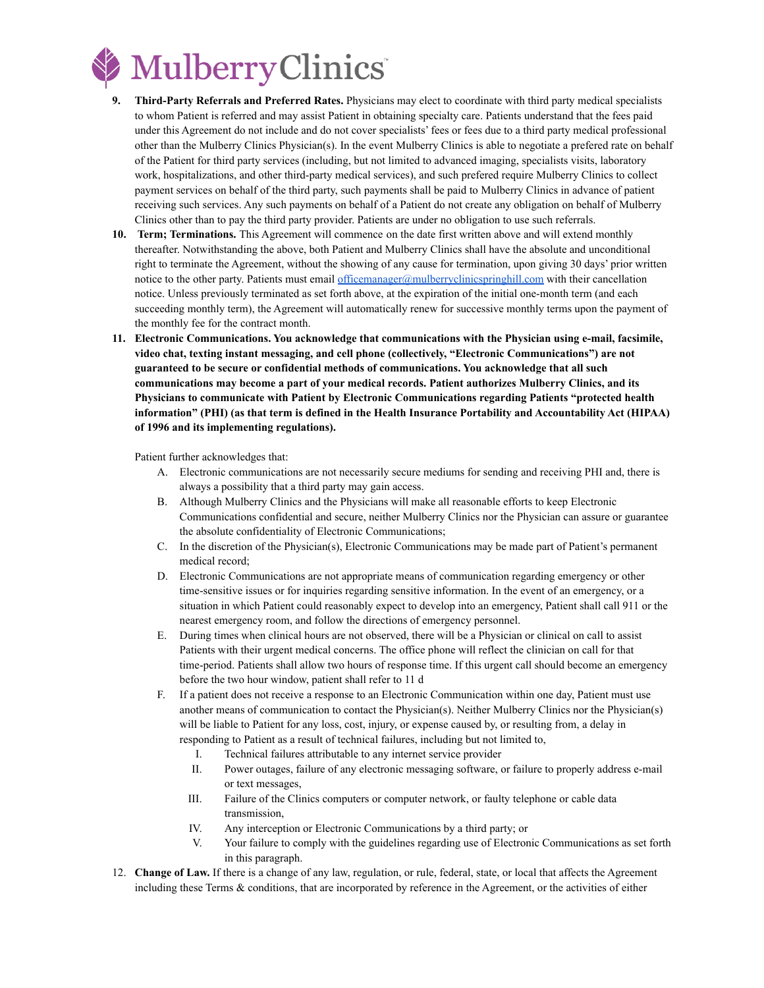

- **9. Third-Party Referrals and Preferred Rates.** Physicians may elect to coordinate with third party medical specialists to whom Patient is referred and may assist Patient in obtaining specialty care. Patients understand that the fees paid under this Agreement do not include and do not cover specialists' fees or fees due to a third party medical professional other than the Mulberry Clinics Physician(s). In the event Mulberry Clinics is able to negotiate a prefered rate on behalf of the Patient for third party services (including, but not limited to advanced imaging, specialists visits, laboratory work, hospitalizations, and other third-party medical services), and such prefered require Mulberry Clinics to collect payment services on behalf of the third party, such payments shall be paid to Mulberry Clinics in advance of patient receiving such services. Any such payments on behalf of a Patient do not create any obligation on behalf of Mulberry Clinics other than to pay the third party provider. Patients are under no obligation to use such referrals.
- **10. Term; Terminations.** This Agreement will commence on the date first written above and will extend monthly thereafter. Notwithstanding the above, both Patient and Mulberry Clinics shall have the absolute and unconditional right to terminate the Agreement, without the showing of any cause for termination, upon giving 30 days' prior written notice to the other party. Patients must email [officemanager@mulberryclinicspringhill.com](mailto:officemanager@mulberryclinicspringhill.com) with their cancellation notice. Unless previously terminated as set forth above, at the expiration of the initial one-month term (and each succeeding monthly term), the Agreement will automatically renew for successive monthly terms upon the payment of the monthly fee for the contract month.
- **11. Electronic Communications. You acknowledge that communications with the Physician using e-mail, facsimile, video chat, texting instant messaging, and cell phone (collectively, "Electronic Communications") are not guaranteed to be secure or confidential methods of communications. You acknowledge that all such communications may become a part of your medical records. Patient authorizes Mulberry Clinics, and its Physicians to communicate with Patient by Electronic Communications regarding Patients "protected health information" (PHI) (as that term is defined in the Health Insurance Portability and Accountability Act (HIPAA) of 1996 and its implementing regulations).**

Patient further acknowledges that:

- A. Electronic communications are not necessarily secure mediums for sending and receiving PHI and, there is always a possibility that a third party may gain access.
- B. Although Mulberry Clinics and the Physicians will make all reasonable efforts to keep Electronic Communications confidential and secure, neither Mulberry Clinics nor the Physician can assure or guarantee the absolute confidentiality of Electronic Communications;
- C. In the discretion of the Physician(s), Electronic Communications may be made part of Patient's permanent medical record;
- D. Electronic Communications are not appropriate means of communication regarding emergency or other time-sensitive issues or for inquiries regarding sensitive information. In the event of an emergency, or a situation in which Patient could reasonably expect to develop into an emergency, Patient shall call 911 or the nearest emergency room, and follow the directions of emergency personnel.
- E. During times when clinical hours are not observed, there will be a Physician or clinical on call to assist Patients with their urgent medical concerns. The office phone will reflect the clinician on call for that time-period. Patients shall allow two hours of response time. If this urgent call should become an emergency before the two hour window, patient shall refer to 11 d
- F. If a patient does not receive a response to an Electronic Communication within one day, Patient must use another means of communication to contact the Physician(s). Neither Mulberry Clinics nor the Physician(s) will be liable to Patient for any loss, cost, injury, or expense caused by, or resulting from, a delay in responding to Patient as a result of technical failures, including but not limited to,
	- I. Technical failures attributable to any internet service provider
	- II. Power outages, failure of any electronic messaging software, or failure to properly address e-mail or text messages,
	- III. Failure of the Clinics computers or computer network, or faulty telephone or cable data transmission,
	- IV. Any interception or Electronic Communications by a third party; or
	- V. Your failure to comply with the guidelines regarding use of Electronic Communications as set forth in this paragraph.
- 12. **Change of Law.** If there is a change of any law, regulation, or rule, federal, state, or local that affects the Agreement including these Terms & conditions, that are incorporated by reference in the Agreement, or the activities of either